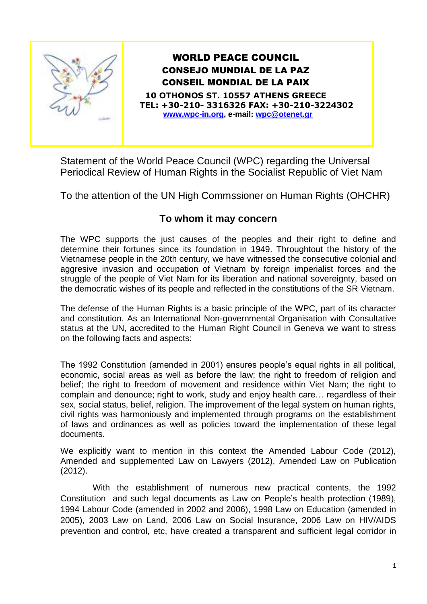

## WORLD PEACE COUNCIL CONSEJO MUNDIAL DE LA PAZ CONSEIL MONDIAL DE LA PAIX

**10 OTHONOS ST. 10557 ATHENS GREECE TEL: +30-210- 3316326 FAX: +30-210-3224302 [www.wpc-in.org,](http://www.wpc-in.org/) e-mail: [wpc@otenet.gr](mailto:wpc@otenet.gr)**

Statement of the World Peace Council (WPC) regarding the Universal Periodical Review of Human Rights in the Socialist Republic of Viet Nam

To the attention of the UN High Commssioner on Human Rights (OHCHR)

## **To whom it may concern**

The WPC supports the just causes of the peoples and their right to define and determine their fortunes since its foundation in 1949. Throughtout the history of the Vietnamese people in the 20th century, we have witnessed the consecutive colonial and aggresive invasion and occupation of Vietnam by foreign imperialist forces and the struggle of the people of Viet Nam for its liberation and national sovereignty, based on the democratic wishes of its people and reflected in the constitutions of the SR Vietnam.

The defense of the Human Rights is a basic principle of the WPC, part of its character and constitution. As an International Non-governmental Organisation with Consultative status at the UN, accredited to the Human Right Council in Geneva we want to stress on the following facts and aspects:

The 1992 Constitution (amended in 2001) ensures people's equal rights in all political, economic, social areas as well as before the law; the right to freedom of religion and belief; the right to freedom of movement and residence within Viet Nam; the right to complain and denounce; right to work, study and enjoy health care… regardless of their sex, social status, belief, religion. The improvement of the legal system on human rights, civil rights was harmoniously and implemented through programs on the establishment of laws and ordinances as well as policies toward the implementation of these legal documents.

We explicitly want to mention in this context the Amended Labour Code (2012), Amended and supplemented Law on Lawyers (2012), Amended Law on Publication (2012).

With the establishment of numerous new practical contents, the 1992 Constitution and such legal documents as Law on People's health protection (1989), 1994 Labour Code (amended in 2002 and 2006), 1998 Law on Education (amended in 2005), 2003 Law on Land, 2006 Law on Social Insurance, 2006 Law on HIV/AIDS prevention and control, etc, have created a transparent and sufficient legal corridor in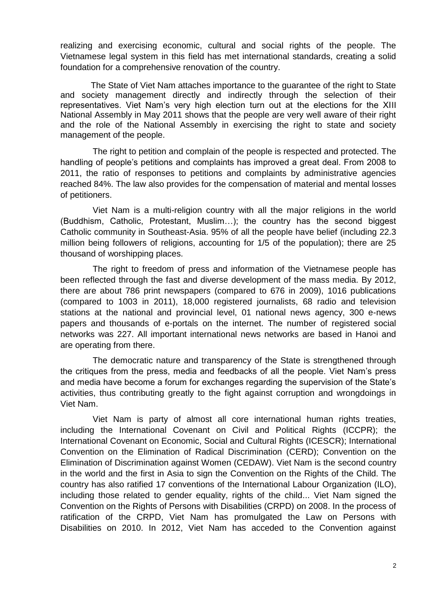realizing and exercising economic, cultural and social rights of the people. The Vietnamese legal system in this field has met international standards, creating a solid foundation for a comprehensive renovation of the country.

The State of Viet Nam attaches importance to the guarantee of the right to State and society management directly and indirectly through the selection of their representatives. Viet Nam's very high election turn out at the elections for the XIII National Assembly in May 2011 shows that the people are very well aware of their right and the role of the National Assembly in exercising the right to state and society management of the people.

The right to petition and complain of the people is respected and protected. The handling of people's petitions and complaints has improved a great deal. From 2008 to 2011, the ratio of responses to petitions and complaints by administrative agencies reached 84%. The law also provides for the compensation of material and mental losses of petitioners.

Viet Nam is a multi-religion country with all the major religions in the world (Buddhism, Catholic, Protestant, Muslim…); the country has the second biggest Catholic community in Southeast-Asia. 95% of all the people have belief (including 22.3 million being followers of religions, accounting for 1/5 of the population); there are 25 thousand of worshipping places.

The right to freedom of press and information of the Vietnamese people has been reflected through the fast and diverse development of the mass media. By 2012, there are about 786 print newspapers (compared to 676 in 2009), 1016 publications (compared to 1003 in 2011), 18,000 registered journalists, 68 radio and television stations at the national and provincial level, 01 national news agency, 300 e-news papers and thousands of e-portals on the internet. The number of registered social networks was 227. All important international news networks are based in Hanoi and are operating from there.

The democratic nature and transparency of the State is strengthened through the critiques from the press, media and feedbacks of all the people. Viet Nam's press and media have become a forum for exchanges regarding the supervision of the State's activities, thus contributing greatly to the fight against corruption and wrongdoings in Viet Nam.

Viet Nam is party of almost all core international human rights treaties, including the International Covenant on Civil and Political Rights (ICCPR); the International Covenant on Economic, Social and Cultural Rights (ICESCR); International Convention on the Elimination of Radical Discrimination (CERD); Convention on the Elimination of Discrimination against Women (CEDAW). Viet Nam is the second country in the world and the first in Asia to sign the Convention on the Rights of the Child. The country has also ratified 17 conventions of the International Labour Organization (ILO), including those related to gender equality, rights of the child... Viet Nam signed the Convention on the Rights of Persons with Disabilities (CRPD) on 2008. In the process of ratification of the CRPD, Viet Nam has promulgated the Law on Persons with Disabilities on 2010. In 2012, Viet Nam has acceded to the Convention against